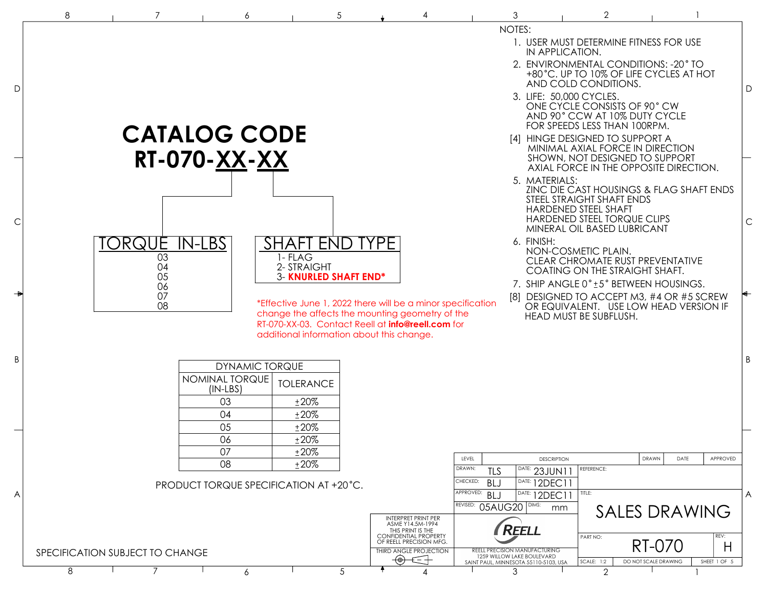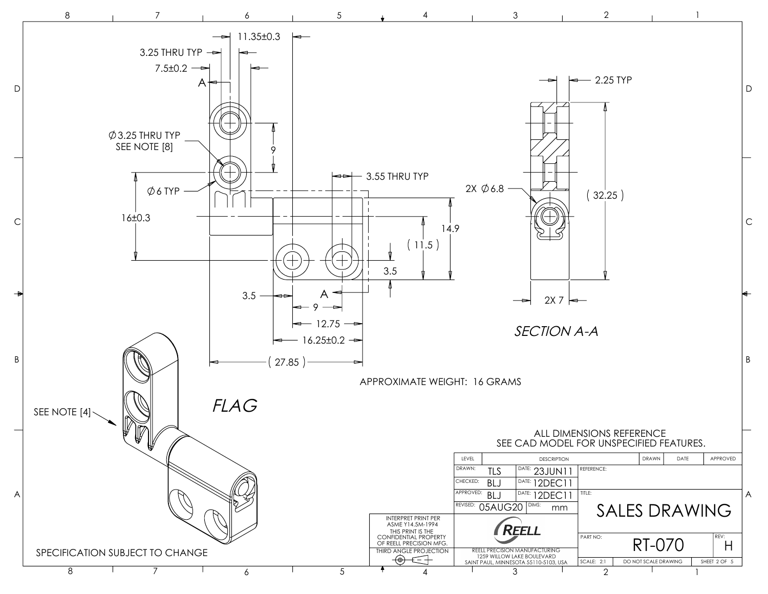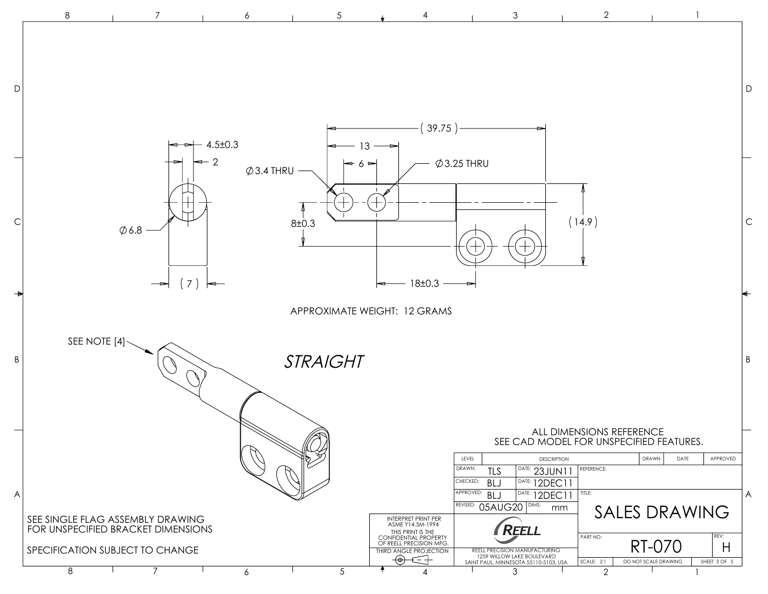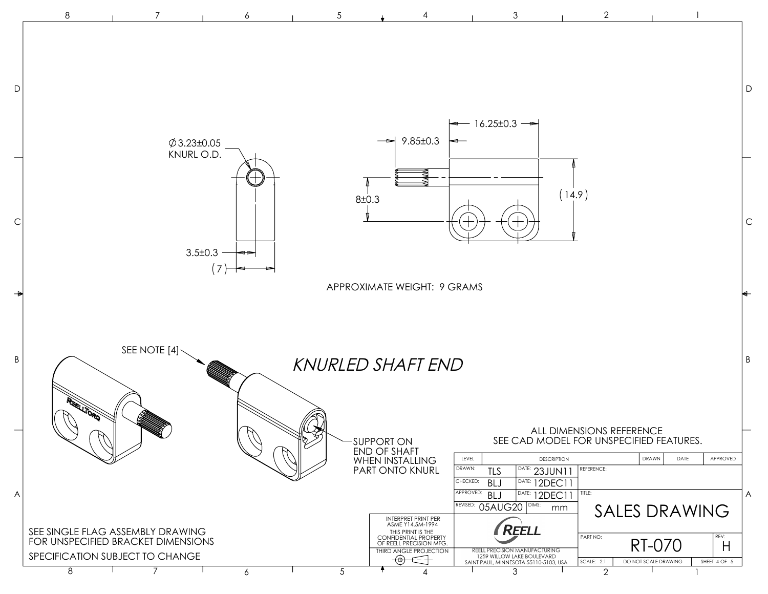